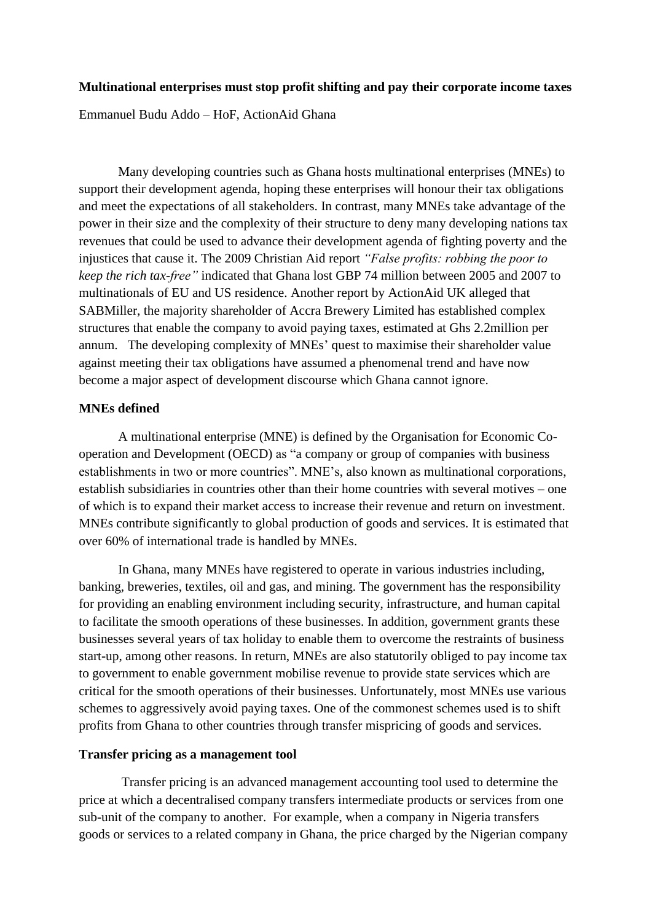# **Multinational enterprises must stop profit shifting and pay their corporate income taxes**

Emmanuel Budu Addo – HoF, ActionAid Ghana

Many developing countries such as Ghana hosts multinational enterprises (MNEs) to support their development agenda, hoping these enterprises will honour their tax obligations and meet the expectations of all stakeholders. In contrast, many MNEs take advantage of the power in their size and the complexity of their structure to deny many developing nations tax revenues that could be used to advance their development agenda of fighting poverty and the injustices that cause it. The 2009 Christian Aid report *"False profits: robbing the poor to keep the rich tax-free"* indicated that Ghana lost GBP 74 million between 2005 and 2007 to multinationals of EU and US residence. Another report by ActionAid UK alleged that SABMiller, the majority shareholder of Accra Brewery Limited has established complex structures that enable the company to avoid paying taxes, estimated at Ghs 2.2million per annum. The developing complexity of MNEs' quest to maximise their shareholder value against meeting their tax obligations have assumed a phenomenal trend and have now become a major aspect of development discourse which Ghana cannot ignore.

#### **MNEs defined**

A multinational enterprise (MNE) is defined by the Organisation for Economic Cooperation and Development (OECD) as "a company or group of companies with business establishments in two or more countries". MNE's, also known as multinational corporations, establish subsidiaries in countries other than their home countries with several motives – one of which is to expand their market access to increase their revenue and return on investment. MNEs contribute significantly to global production of goods and services. It is estimated that over 60% of international trade is handled by MNEs.

In Ghana, many MNEs have registered to operate in various industries including, banking, breweries, textiles, oil and gas, and mining. The government has the responsibility for providing an enabling environment including security, infrastructure, and human capital to facilitate the smooth operations of these businesses. In addition, government grants these businesses several years of tax holiday to enable them to overcome the restraints of business start-up, among other reasons. In return, MNEs are also statutorily obliged to pay income tax to government to enable government mobilise revenue to provide state services which are critical for the smooth operations of their businesses. Unfortunately, most MNEs use various schemes to aggressively avoid paying taxes. One of the commonest schemes used is to shift profits from Ghana to other countries through transfer mispricing of goods and services.

## **Transfer pricing as a management tool**

Transfer pricing is an advanced management accounting tool used to determine the price at which a decentralised company transfers intermediate products or services from one sub-unit of the company to another. For example, when a company in Nigeria transfers goods or services to a related company in Ghana, the price charged by the Nigerian company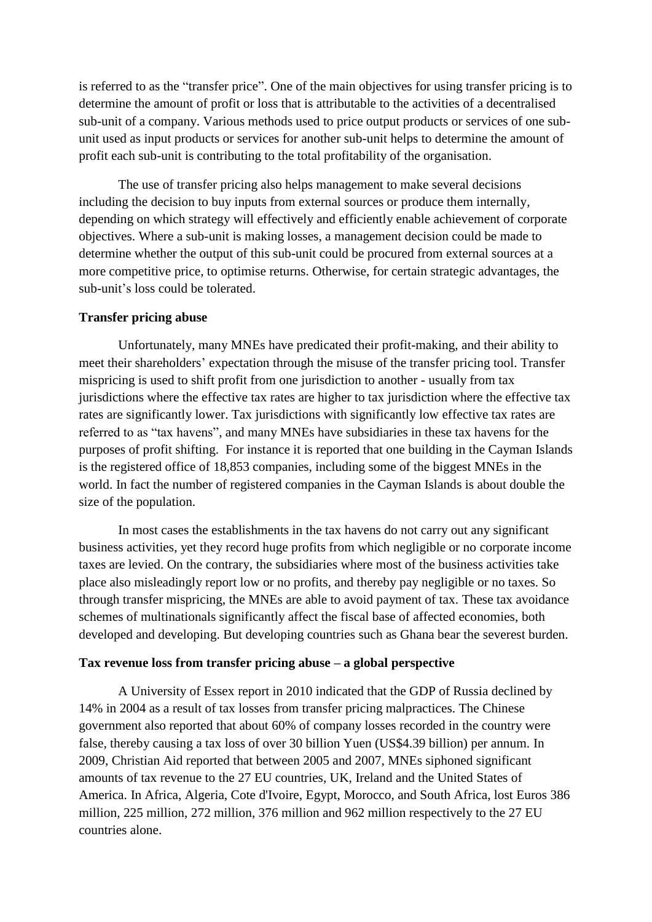is referred to as the "transfer price". One of the main objectives for using transfer pricing is to determine the amount of profit or loss that is attributable to the activities of a decentralised sub-unit of a company. Various methods used to price output products or services of one subunit used as input products or services for another sub-unit helps to determine the amount of profit each sub-unit is contributing to the total profitability of the organisation.

The use of transfer pricing also helps management to make several decisions including the decision to buy inputs from external sources or produce them internally, depending on which strategy will effectively and efficiently enable achievement of corporate objectives. Where a sub-unit is making losses, a management decision could be made to determine whether the output of this sub-unit could be procured from external sources at a more competitive price, to optimise returns. Otherwise, for certain strategic advantages, the sub-unit's loss could be tolerated.

# **Transfer pricing abuse**

Unfortunately, many MNEs have predicated their profit-making, and their ability to meet their shareholders' expectation through the misuse of the transfer pricing tool. Transfer mispricing is used to shift profit from one jurisdiction to another - usually from tax jurisdictions where the effective tax rates are higher to tax jurisdiction where the effective tax rates are significantly lower. Tax jurisdictions with significantly low effective tax rates are referred to as "tax havens", and many MNEs have subsidiaries in these tax havens for the purposes of profit shifting. For instance it is reported that one building in the Cayman Islands is the registered office of 18,853 companies, including some of the biggest MNEs in the world. In fact the number of registered companies in the Cayman Islands is about double the size of the population.

In most cases the establishments in the tax havens do not carry out any significant business activities, yet they record huge profits from which negligible or no corporate income taxes are levied. On the contrary, the subsidiaries where most of the business activities take place also misleadingly report low or no profits, and thereby pay negligible or no taxes. So through transfer mispricing, the MNEs are able to avoid payment of tax. These tax avoidance schemes of multinationals significantly affect the fiscal base of affected economies, both developed and developing. But developing countries such as Ghana bear the severest burden.

#### **Tax revenue loss from transfer pricing abuse – a global perspective**

A University of Essex report in 2010 indicated that the GDP of Russia declined by 14% in 2004 as a result of tax losses from transfer pricing malpractices. The Chinese government also reported that about 60% of company losses recorded in the country were false, thereby causing a tax loss of over 30 billion Yuen (US\$4.39 billion) per annum. In 2009, Christian Aid reported that between 2005 and 2007, MNEs siphoned significant amounts of tax revenue to the 27 EU countries, UK, Ireland and the United States of America. In Africa, Algeria, Cote d'Ivoire, Egypt, Morocco, and South Africa, lost Euros 386 million, 225 million, 272 million, 376 million and 962 million respectively to the 27 EU countries alone.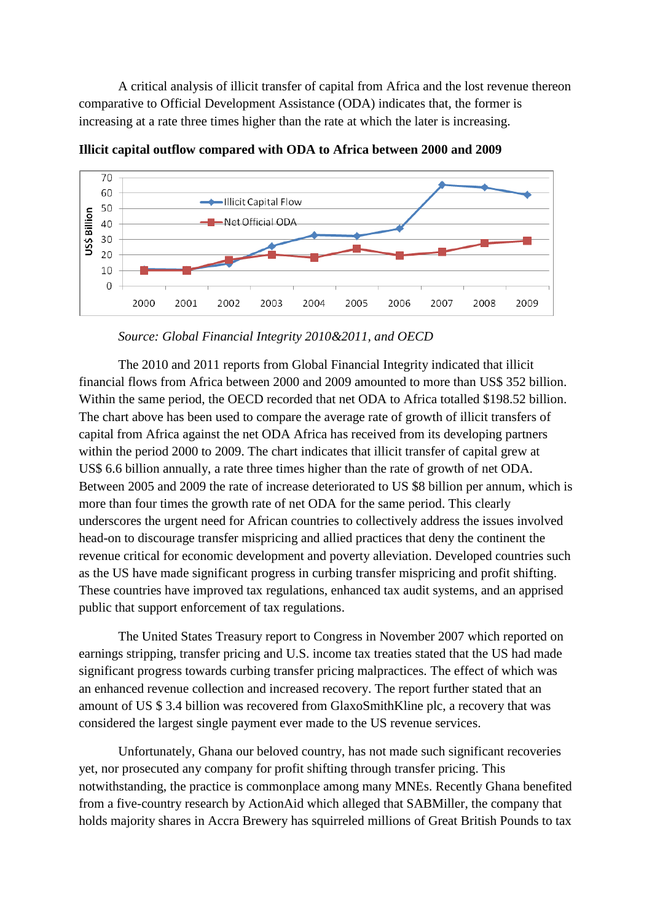A critical analysis of illicit transfer of capital from Africa and the lost revenue thereon comparative to Official Development Assistance (ODA) indicates that, the former is increasing at a rate three times higher than the rate at which the later is increasing.



**Illicit capital outflow compared with ODA to Africa between 2000 and 2009**

The 2010 and 2011 reports from Global Financial Integrity indicated that illicit financial flows from Africa between 2000 and 2009 amounted to more than US\$ 352 billion. Within the same period, the OECD recorded that net ODA to Africa totalled \$198.52 billion. The chart above has been used to compare the average rate of growth of illicit transfers of capital from Africa against the net ODA Africa has received from its developing partners within the period 2000 to 2009. The chart indicates that illicit transfer of capital grew at US\$ 6.6 billion annually, a rate three times higher than the rate of growth of net ODA. Between 2005 and 2009 the rate of increase deteriorated to US \$8 billion per annum, which is more than four times the growth rate of net ODA for the same period. This clearly underscores the urgent need for African countries to collectively address the issues involved head-on to discourage transfer mispricing and allied practices that deny the continent the revenue critical for economic development and poverty alleviation. Developed countries such as the US have made significant progress in curbing transfer mispricing and profit shifting. These countries have improved tax regulations, enhanced tax audit systems, and an apprised public that support enforcement of tax regulations.

The United States Treasury report to Congress in November 2007 which reported on earnings stripping, transfer pricing and U.S. income tax treaties stated that the US had made significant progress towards curbing transfer pricing malpractices. The effect of which was an enhanced revenue collection and increased recovery. The report further stated that an amount of US \$ 3.4 billion was recovered from GlaxoSmithKline plc, a recovery that was considered the largest single payment ever made to the US revenue services.

Unfortunately, Ghana our beloved country, has not made such significant recoveries yet, nor prosecuted any company for profit shifting through transfer pricing. This notwithstanding, the practice is commonplace among many MNEs. Recently Ghana benefited from a five-country research by ActionAid which alleged that SABMiller, the company that holds majority shares in Accra Brewery has squirreled millions of Great British Pounds to tax

*Source: Global Financial Integrity 2010&2011, and OECD*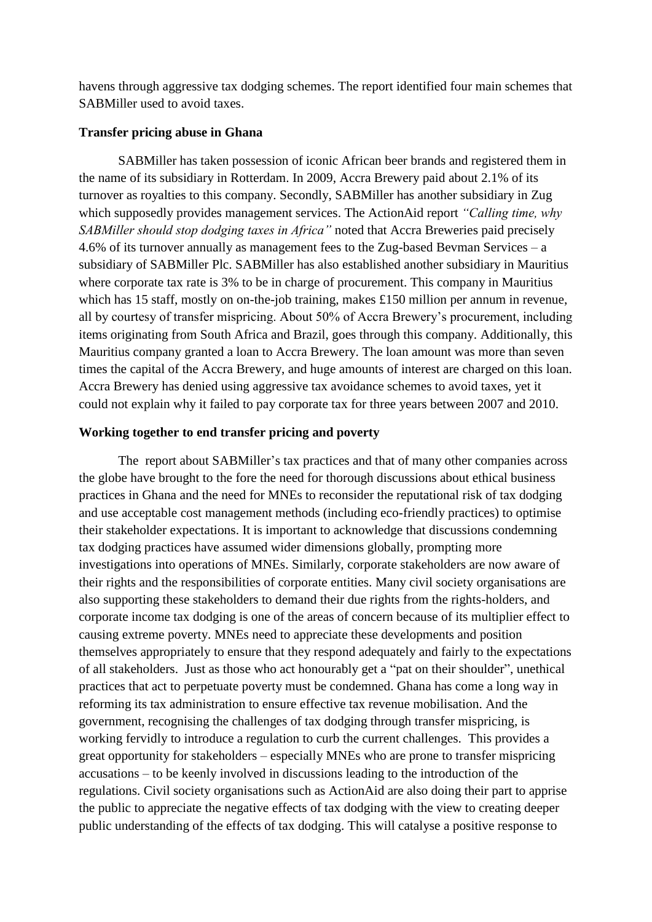havens through aggressive tax dodging schemes. The report identified four main schemes that SABMiller used to avoid taxes.

## **Transfer pricing abuse in Ghana**

SABMiller has taken possession of iconic African beer brands and registered them in the name of its subsidiary in Rotterdam. In 2009, Accra Brewery paid about 2.1% of its turnover as royalties to this company. Secondly, SABMiller has another subsidiary in Zug which supposedly provides management services. The ActionAid report *"Calling time, why SABMiller should stop dodging taxes in Africa"* noted that Accra Breweries paid precisely 4.6% of its turnover annually as management fees to the Zug-based Bevman Services – a subsidiary of SABMiller Plc. SABMiller has also established another subsidiary in Mauritius where corporate tax rate is 3% to be in charge of procurement. This company in Mauritius which has 15 staff, mostly on on-the-job training, makes £150 million per annum in revenue, all by courtesy of transfer mispricing. About 50% of Accra Brewery's procurement, including items originating from South Africa and Brazil, goes through this company. Additionally, this Mauritius company granted a loan to Accra Brewery. The loan amount was more than seven times the capital of the Accra Brewery, and huge amounts of interest are charged on this loan. Accra Brewery has denied using aggressive tax avoidance schemes to avoid taxes, yet it could not explain why it failed to pay corporate tax for three years between 2007 and 2010.

# **Working together to end transfer pricing and poverty**

The report about SABMiller's tax practices and that of many other companies across the globe have brought to the fore the need for thorough discussions about ethical business practices in Ghana and the need for MNEs to reconsider the reputational risk of tax dodging and use acceptable cost management methods (including eco-friendly practices) to optimise their stakeholder expectations. It is important to acknowledge that discussions condemning tax dodging practices have assumed wider dimensions globally, prompting more investigations into operations of MNEs. Similarly, corporate stakeholders are now aware of their rights and the responsibilities of corporate entities. Many civil society organisations are also supporting these stakeholders to demand their due rights from the rights-holders, and corporate income tax dodging is one of the areas of concern because of its multiplier effect to causing extreme poverty. MNEs need to appreciate these developments and position themselves appropriately to ensure that they respond adequately and fairly to the expectations of all stakeholders. Just as those who act honourably get a "pat on their shoulder", unethical practices that act to perpetuate poverty must be condemned. Ghana has come a long way in reforming its tax administration to ensure effective tax revenue mobilisation. And the government, recognising the challenges of tax dodging through transfer mispricing, is working fervidly to introduce a regulation to curb the current challenges. This provides a great opportunity for stakeholders – especially MNEs who are prone to transfer mispricing accusations – to be keenly involved in discussions leading to the introduction of the regulations. Civil society organisations such as ActionAid are also doing their part to apprise the public to appreciate the negative effects of tax dodging with the view to creating deeper public understanding of the effects of tax dodging. This will catalyse a positive response to